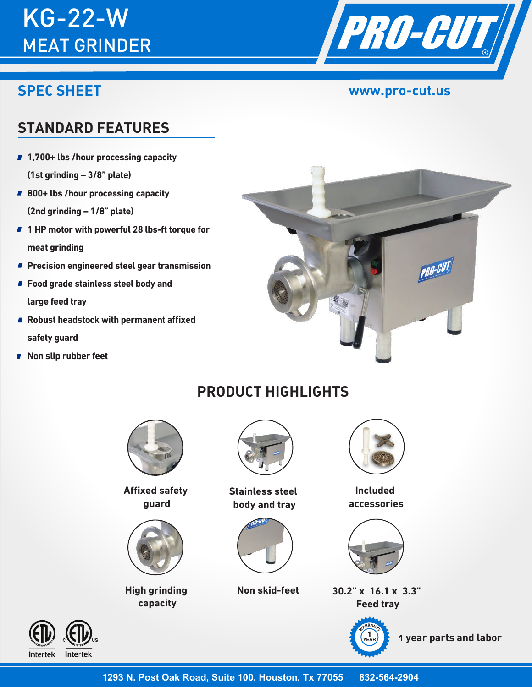# KG-22-W MEAT GRINDER

# **SPEC SHEET**



### **www.pro-cut.us**

# **STANDARD FEATURES**

- **1,700+ lbs /hour processing capacity (1st grinding – 3/8" plate)**
- **800+ lbs /hour processing capacity (2nd grinding – 1/8" plate)**
- 1 HP motor with powerful 28 lbs-ft torque for **meat grinding**
- **Precision engineered steel gear transmission**
- **Food grade stainless steel body and large feed tray**
- **Robust headstock with permanent affixed safety guard**
- **Non slip rubber feet**



# **PRODUCT HIGHLIGHTS**



**Affixed safety guard**



**High grinding capacity**



**Stainless steel body and tray**



**Non skid-feet**



**Included accessories**



**30.2" x 16.1 x 3.3" Feed tray**



 **1 year parts and labor**